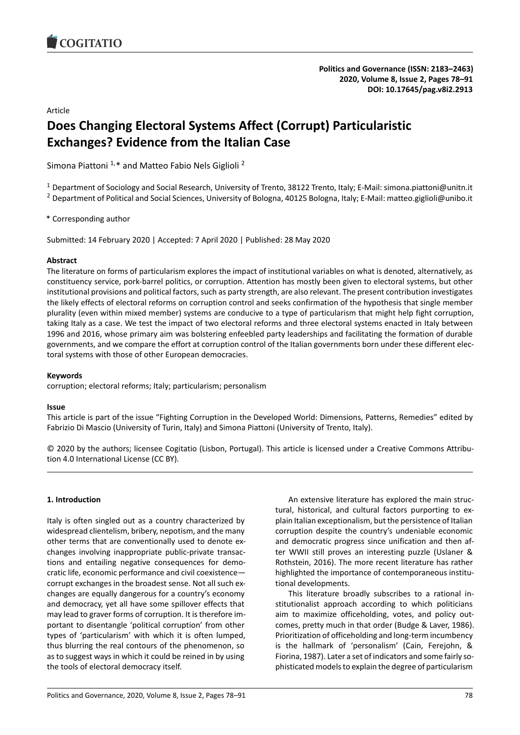# Article

# **Does Changing Electoral Systems Affect (Corrupt) Particularistic Exchanges? Evidence from the Italian Case**

Simona Piattoni<sup>1,\*</sup> and Matteo Fabio Nels Giglioli<sup>2</sup>

<sup>1</sup> Department of Sociology and Social Research, University of Trento, 38122 Trento, Italy; E-Mail: simona.piattoni@unitn.it <sup>2</sup> Department of Political and Social Sciences, University of Bologna, 40125 Bologna, Italy; E-Mail: matteo.giglioli@unibo.it

\* Corresponding author

Submitted: 14 February 2020 | Accepted: 7 April 2020 | Published: 28 May 2020

## **Abstract**

The literature on forms of particularism explores the impact of institutional variables on what is denoted, alternatively, as constituency service, pork-barrel politics, or corruption. Attention has mostly been given to electoral systems, but other institutional provisions and political factors, such as party strength, are also relevant. The present contribution investigates the likely effects of electoral reforms on corruption control and seeks confirmation of the hypothesis that single member plurality (even within mixed member) systems are conducive to a type of particularism that might help fight corruption, taking Italy as a case. We test the impact of two electoral reforms and three electoral systems enacted in Italy between 1996 and 2016, whose primary aim was bolstering enfeebled party leaderships and facilitating the formation of durable governments, and we compare the effort at corruption control of the Italian governments born under these different electoral systems with those of other European democracies.

# **Keywords**

corruption; electoral reforms; Italy; particularism; personalism

## **Issue**

This article is part of the issue "Fighting Corruption in the Developed World: Dimensions, Patterns, Remedies" edited by Fabrizio Di Mascio (University of Turin, Italy) and Simona Piattoni (University of Trento, Italy).

© 2020 by the authors; licensee Cogitatio (Lisbon, Portugal). This article is licensed under a Creative Commons Attribution 4.0 International License (CC BY).

## **1. Introduction**

Italy is often singled out as a country characterized by widespread clientelism, bribery, nepotism, and the many other terms that are conventionally used to denote exchanges involving inappropriate public-private transactions and entailing negative consequences for democratic life, economic performance and civil coexistence corrupt exchanges in the broadest sense. Not all such exchanges are equally dangerous for a country's economy and democracy, yet all have some spillover effects that may lead to graver forms of corruption. It is therefore important to disentangle 'political corruption' from other types of 'particularism' with which it is often lumped, thus blurring the real contours of the phenomenon, so as to suggest ways in which it could be reined in by using the tools of electoral democracy itself.

An extensive literature has explored the main structural, historical, and cultural factors purporting to explain Italian exceptionalism, but the persistence of Italian corruption despite the country's undeniable economic and democratic progress since unification and then after WWII still proves an interesting puzzle (Uslaner & Rothstein, 2016). The more recent literature has rather highlighted the importance of contemporaneous institutional developments.

This literature broadly subscribes to a rational institutionalist approach according to which politicians aim to maximize officeholding, votes, and policy outcomes, pretty much in that order (Budge & Laver, 1986). Prioritization of officeholding and long-term incumbency is the hallmark of 'personalism' (Cain, Ferejohn, & Fiorina, 1987). Later a set of indicators and some fairly sophisticated models to explain the degree of particularism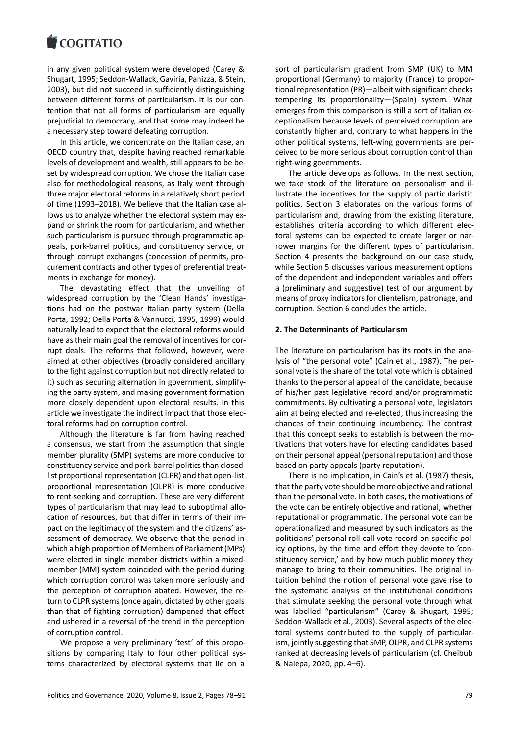#### COQUIATIO

in any given political system were developed (Carey & Shugart, 1995; Seddon-Wallack, Gaviria, Panizza, & Stein, 2003), but did not succeed in sufficiently distinguishing between different forms of particularism. It is our contention that not all forms of particularism are equally prejudicial to democracy, and that some may indeed be a necessary step toward defeating corruption.

In this article, we concentrate on the Italian case, an OECD country that, despite having reached remarkable levels of development and wealth, still appears to be beset by widespread corruption. We chose the Italian case also for methodological reasons, as Italy went through three major electoral reforms in a relatively short period of time (1993–2018). We believe that the Italian case allows us to analyze whether the electoral system may expand or shrink the room for particularism, and whether such particularism is pursued through programmatic appeals, pork-barrel politics, and constituency service, or through corrupt exchanges (concession of permits, procurement contracts and other types of preferential treatments in exchange for money).

The devastating effect that the unveiling of widespread corruption by the 'Clean Hands' investigations had on the postwar Italian party system (Della Porta, 1992; Della Porta & Vannucci, 1995, 1999) would naturally lead to expect that the electoral reforms would have as their main goal the removal of incentives for corrupt deals. The reforms that followed, however, were aimed at other objectives (broadly considered ancillary to the fight against corruption but not directly related to it) such as securing alternation in government, simplifying the party system, and making government formation more closely dependent upon electoral results. In this article we investigate the indirect impact that those electoral reforms had on corruption control.

Although the literature is far from having reached a consensus, we start from the assumption that single member plurality (SMP) systems are more conducive to constituency service and pork-barrel politics than closedlist proportional representation (CLPR) and that open-list proportional representation (OLPR) is more conducive to rent-seeking and corruption. These are very different types of particularism that may lead to suboptimal allocation of resources, but that differ in terms of their impact on the legitimacy of the system and the citizens' assessment of democracy. We observe that the period in which a high proportion of Members of Parliament (MPs) were elected in single member districts within a mixedmember (MM) system coincided with the period during which corruption control was taken more seriously and the perception of corruption abated. However, the return to CLPR systems (once again, dictated by other goals than that of fighting corruption) dampened that effect and ushered in a reversal of the trend in the perception of corruption control.

We propose a very preliminary 'test' of this propositions by comparing Italy to four other political systems characterized by electoral systems that lie on a

sort of particularism gradient from SMP (UK) to MM proportional (Germany) to majority (France) to proportional representation (PR)—albeit with significant checks tempering its proportionality—(Spain) system. What emerges from this comparison is still a sort of Italian exceptionalism because levels of perceived corruption are constantly higher and, contrary to what happens in the other political systems, left-wing governments are perceived to be more serious about corruption control than right-wing governments.

The article develops as follows. In the next section, we take stock of the literature on personalism and illustrate the incentives for the supply of particularistic politics. Section 3 elaborates on the various forms of particularism and, drawing from the existing literature, establishes criteria according to which different electoral systems can be expected to create larger or narrower margins for the different types of particularism. Section 4 presents the background on our case study, while Section 5 discusses various measurement options of the dependent and independent variables and offers a (preliminary and suggestive) test of our argument by means of proxy indicators for clientelism, patronage, and corruption. Section 6 concludes the article.

#### **2. The Determinants of Particularism**

The literature on particularism has its roots in the analysis of "the personal vote" (Cain et al., 1987). The personal vote is the share of the total vote which is obtained thanks to the personal appeal of the candidate, because of his/her past legislative record and/or programmatic commitments. By cultivating a personal vote, legislators aim at being elected and re-elected, thus increasing the chances of their continuing incumbency. The contrast that this concept seeks to establish is between the motivations that voters have for electing candidates based on their personal appeal (personal reputation) and those based on party appeals (party reputation).

There is no implication, in Cain's et al. (1987) thesis, that the party vote should be more objective and rational than the personal vote. In both cases, the motivations of the vote can be entirely objective and rational, whether reputational or programmatic. The personal vote can be operationalized and measured by such indicators as the politicians' personal roll-call vote record on specific policy options, by the time and effort they devote to 'constituency service,' and by how much public money they manage to bring to their communities. The original intuition behind the notion of personal vote gave rise to the systematic analysis of the institutional conditions that stimulate seeking the personal vote through what was labelled "particularism" (Carey & Shugart, 1995; Seddon-Wallack et al., 2003). Several aspects of the electoral systems contributed to the supply of particularism, jointly suggesting that SMP, OLPR, and CLPR systems ranked at decreasing levels of particularism (cf. Cheibub & Nalepa, 2020, pp. 4–6).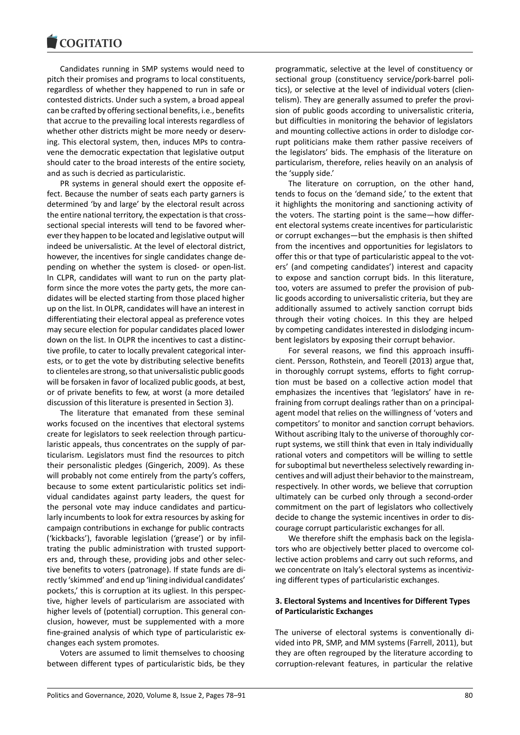#### COQUIATIO

Candidates running in SMP systems would need to pitch their promises and programs to local constituents, regardless of whether they happened to run in safe or contested districts. Under such a system, a broad appeal can be crafted by offering sectional benefits, i.e., benefits that accrue to the prevailing local interests regardless of whether other districts might be more needy or deserving. This electoral system, then, induces MPs to contravene the democratic expectation that legislative output should cater to the broad interests of the entire society, and as such is decried as particularistic.

PR systems in general should exert the opposite effect. Because the number of seats each party garners is determined 'by and large' by the electoral result across the entire national territory, the expectation is that crosssectional special interests will tend to be favored wherever they happen to be located and legislative output will indeed be universalistic. At the level of electoral district, however, the incentives for single candidates change depending on whether the system is closed- or open-list. In CLPR, candidates will want to run on the party platform since the more votes the party gets, the more candidates will be elected starting from those placed higher up on the list. In OLPR, candidates will have an interest in differentiating their electoral appeal as preference votes may secure election for popular candidates placed lower down on the list. In OLPR the incentives to cast a distinctive profile, to cater to locally prevalent categorical interests, or to get the vote by distributing selective benefits to clienteles are strong, so that universalistic public goods will be forsaken in favor of localized public goods, at best, or of private benefits to few, at worst (a more detailed discussion of this literature is presented in Section 3).

The literature that emanated from these seminal works focused on the incentives that electoral systems create for legislators to seek reelection through particularistic appeals, thus concentrates on the supply of particularism. Legislators must find the resources to pitch their personalistic pledges (Gingerich, 2009). As these will probably not come entirely from the party's coffers, because to some extent particularistic politics set individual candidates against party leaders, the quest for the personal vote may induce candidates and particularly incumbents to look for extra resources by asking for campaign contributions in exchange for public contracts ('kickbacks'), favorable legislation ('grease') or by infiltrating the public administration with trusted supporters and, through these, providing jobs and other selective benefits to voters (patronage). If state funds are directly 'skimmed' and end up 'lining individual candidates' pockets,' this is corruption at its ugliest. In this perspective, higher levels of particularism are associated with higher levels of (potential) corruption. This general conclusion, however, must be supplemented with a more fine-grained analysis of which type of particularistic exchanges each system promotes.

Voters are assumed to limit themselves to choosing between different types of particularistic bids, be they programmatic, selective at the level of constituency or sectional group (constituency service/pork-barrel politics), or selective at the level of individual voters (clientelism). They are generally assumed to prefer the provision of public goods according to universalistic criteria, but difficulties in monitoring the behavior of legislators and mounting collective actions in order to dislodge corrupt politicians make them rather passive receivers of the legislators' bids. The emphasis of the literature on particularism, therefore, relies heavily on an analysis of the 'supply side.'

The literature on corruption, on the other hand, tends to focus on the 'demand side,' to the extent that it highlights the monitoring and sanctioning activity of the voters. The starting point is the same—how different electoral systems create incentives for particularistic or corrupt exchanges—but the emphasis is then shifted from the incentives and opportunities for legislators to offer this or that type of particularistic appeal to the voters' (and competing candidates') interest and capacity to expose and sanction corrupt bids. In this literature, too, voters are assumed to prefer the provision of public goods according to universalistic criteria, but they are additionally assumed to actively sanction corrupt bids through their voting choices. In this they are helped by competing candidates interested in dislodging incumbent legislators by exposing their corrupt behavior.

For several reasons, we find this approach insufficient. Persson, Rothstein, and Teorell (2013) argue that, in thoroughly corrupt systems, efforts to fight corruption must be based on a collective action model that emphasizes the incentives that 'legislators' have in refraining from corrupt dealings rather than on a principalagent model that relies on the willingness of 'voters and competitors' to monitor and sanction corrupt behaviors. Without ascribing Italy to the universe of thoroughly corrupt systems, we still think that even in Italy individually rational voters and competitors will be willing to settle for suboptimal but nevertheless selectively rewarding incentives and will adjust their behavior to the mainstream, respectively. In other words, we believe that corruption ultimately can be curbed only through a second-order commitment on the part of legislators who collectively decide to change the systemic incentives in order to discourage corrupt particularistic exchanges for all.

We therefore shift the emphasis back on the legislators who are objectively better placed to overcome collective action problems and carry out such reforms, and we concentrate on Italy's electoral systems as incentivizing different types of particularistic exchanges.

#### **3. Electoral Systems and Incentives for Different Types of Particularistic Exchanges**

The universe of electoral systems is conventionally divided into PR, SMP, and MM systems (Farrell, 2011), but they are often regrouped by the literature according to corruption-relevant features, in particular the relative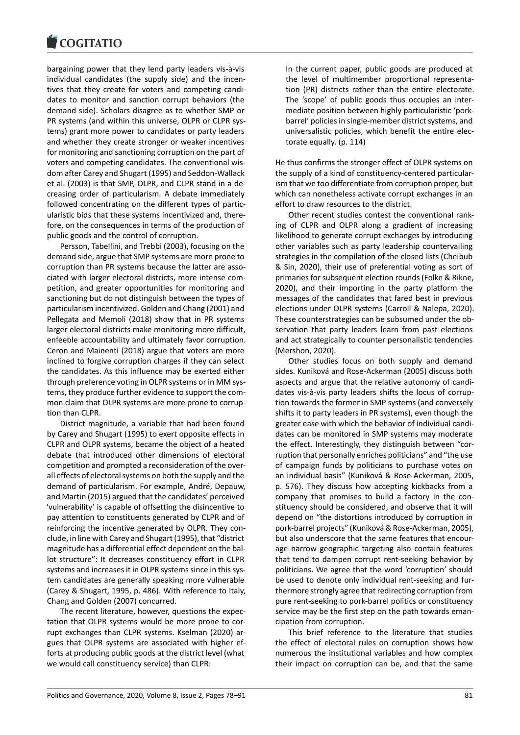bargaining power that they lend party leaders vis-à-vis individual candidates (the supply side) and the incentives that they create for voters and competing candidates to monitor and sanction corrupt behaviors (the demand side). Scholars disagree as to whether SMP or PR systems (and within this universe, OLPR or CLPR systems) grant more power to candidates or party leaders and whether they create stronger or weaker incentives for monitoring and sanctioning corruption on the part of voters and competing candidates. The conventional wisdom after Carey and Shugart (1995) and Seddon-Wallack et al. (2003) is that SMP, OLPR, and CLPR stand in a decreasing order of particularism. A debate immediately followed concentrating on the different types of particularistic bids that these systems incentivized and, therefore, on the consequences in terms of the production of public goods and the control of corruption.

Persson, Tabellini, and Trebbi (2003), focusing on the demand side, argue that SMP systems are more prone to corruption than PR systems because the latter are associated with larger electoral districts, more intense competition, and greater opportunities for monitoring and sanctioning but do not distinguish between the types of particularism incentivized. Golden and Chang (2001) and Pellegata and Memoli (2018) show that in PR systems larger electoral districts make monitoring more difficult, enfeeble accountability and ultimately favor corruption. Ceron and Mainenti (2018) argue that voters are more inclined to forgive corruption charges if they can select the candidates. As this influence may be exerted either through preference voting in OLPR systems or in MM systems, they produce further evidence to support the common claim that OLPR systems are more prone to corruption than CLPR.

District magnitude, a variable that had been found by Carey and Shugart (1995) to exert opposite effects in CLPR and OLPR systems, became the object of a heated debate that introduced other dimensions of electoral competition and prompted a reconsideration of the overall effects of electoral systems on both the supply and the demand of particularism. For example, André, Depauw, and Martin (2015) argued that the candidates' perceived 'vulnerability' is capable of offsetting the disincentive to pay attention to constituents generated by CLPR and of reinforcing the incentive generated by OLPR. They conclude, in line with Carey and Shugart (1995), that "district magnitude has a differential effect dependent on the ballot structure": It decreases constituency effort in CLPR systems and increases it in OLPR systems since in this system candidates are generally speaking more vulnerable (Carey & Shugart, 1995, p. 486). With reference to Italy, Chang and Golden (2007) concurred.

The recent literature, however, questions the expectation that OLPR systems would be more prone to corrupt exchanges than CLPR systems. Kselman (2020) argues that OLPR systems are associated with higher efforts at producing public goods at the district level (what we would call constituency service) than CLPR:

In the current paper, public goods are produced at the level of multimember proportional representation (PR) districts rather than the entire electorate. The 'scope' of public goods thus occupies an intermediate position between highly particularistic 'porkbarrel' policies in single-member district systems, and universalistic policies, which benefit the entire electorate equally. (p. 114)

He thus confirms the stronger effect of OLPR systems on the supply of a kind of constituency-centered particularism that we too differentiate from corruption proper, but which can nonetheless activate corrupt exchanges in an effort to draw resources to the district.

Other recent studies contest the conventional ranking of CLPR and OLPR along a gradient of increasing likelihood to generate corrupt exchanges by introducing other variables such as party leadership countervailing strategies in the compilation of the closed lists (Cheibub & Sin, 2020), their use of preferential voting as sort of primaries for subsequent election rounds (Folke & Rikne, 2020), and their importing in the party platform the messages of the candidates that fared best in previous elections under OLPR systems (Carroll & Nalepa, 2020). These counterstrategies can be subsumed under the observation that party leaders learn from past elections and act strategically to counter personalistic tendencies (Mershon, 2020).

Other studies focus on both supply and demand sides. Kuniková and Rose-Ackerman (2005) discuss both aspects and argue that the relative autonomy of candidates vis-à-vis party leaders shifts the locus of corruption towards the former in SMP systems (and conversely shifts it to party leaders in PR systems), even though the greater ease with which the behavior of individual candidates can be monitored in SMP systems may moderate the effect. Interestingly, they distinguish between "corruption that personally enriches politicians" and "the use of campaign funds by politicians to purchase votes on an individual basis" (Kuniková & Rose-Ackerman, 2005, p. 576). They discuss how accepting kickbacks from a company that promises to build a factory in the constituency should be considered, and observe that it will depend on "the distortions introduced by corruption in pork-barrel projects" (Kuniková & Rose-Ackerman, 2005), but also underscore that the same features that encourage narrow geographic targeting also contain features that tend to dampen corrupt rent-seeking behavior by politicians. We agree that the word 'corruption' should be used to denote only individual rent-seeking and furthermore strongly agree that redirecting corruption from pure rent-seeking to pork-barrel politics or constituency service may be the first step on the path towards emancipation from corruption.

This brief reference to the literature that studies the effect of electoral rules on corruption shows how numerous the institutional variables and how complex their impact on corruption can be, and that the same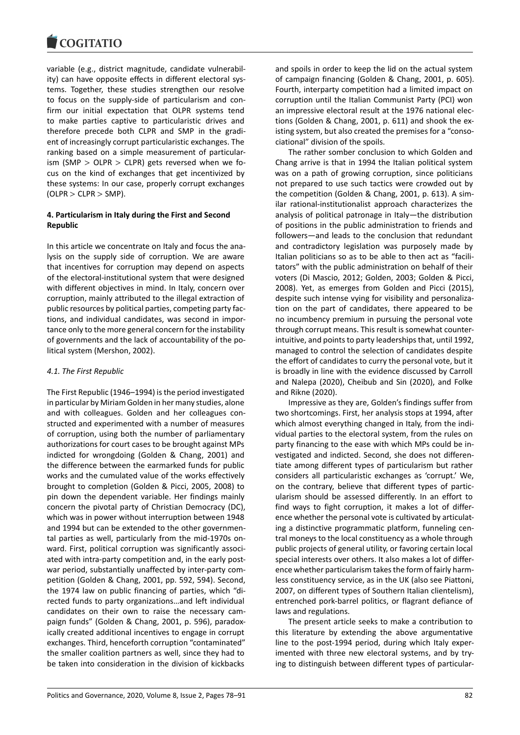variable (e.g., district magnitude, candidate vulnerability) can have opposite effects in different electoral systems. Together, these studies strengthen our resolve to focus on the supply-side of particularism and confirm our initial expectation that OLPR systems tend to make parties captive to particularistic drives and therefore precede both CLPR and SMP in the gradient of increasingly corrupt particularistic exchanges. The ranking based on a simple measurement of particularism (SMP  $>$  OLPR  $>$  CLPR) gets reversed when we focus on the kind of exchanges that get incentivized by these systems: In our case, properly corrupt exchanges  $(OLPR > CLPR > SMP)$ .

### **4. Particularism in Italy during the First and Second Republic**

In this article we concentrate on Italy and focus the analysis on the supply side of corruption. We are aware that incentives for corruption may depend on aspects of the electoral-institutional system that were designed with different objectives in mind. In Italy, concern over corruption, mainly attributed to the illegal extraction of public resources by political parties, competing party factions, and individual candidates, was second in importance only to the more general concern for the instability of governments and the lack of accountability of the political system (Mershon, 2002).

#### *4.1. The First Republic*

The First Republic (1946–1994) is the period investigated in particular by Miriam Golden in her many studies, alone and with colleagues. Golden and her colleagues constructed and experimented with a number of measures of corruption, using both the number of parliamentary authorizations for court cases to be brought against MPs indicted for wrongdoing (Golden & Chang, 2001) and the difference between the earmarked funds for public works and the cumulated value of the works effectively brought to completion (Golden & Picci, 2005, 2008) to pin down the dependent variable. Her findings mainly concern the pivotal party of Christian Democracy (DC), which was in power without interruption between 1948 and 1994 but can be extended to the other governmental parties as well, particularly from the mid-1970s onward. First, political corruption was significantly associated with intra-party competition and, in the early postwar period, substantially unaffected by inter-party competition (Golden & Chang, 2001, pp. 592, 594). Second, the 1974 law on public financing of parties, which "directed funds to party organizations…and left individual candidates on their own to raise the necessary campaign funds" (Golden & Chang, 2001, p. 596), paradoxically created additional incentives to engage in corrupt exchanges. Third, henceforth corruption "contaminated" the smaller coalition partners as well, since they had to be taken into consideration in the division of kickbacks

and spoils in order to keep the lid on the actual system of campaign financing (Golden & Chang, 2001, p. 605). Fourth, interparty competition had a limited impact on corruption until the Italian Communist Party (PCI) won an impressive electoral result at the 1976 national elections (Golden & Chang, 2001, p. 611) and shook the existing system, but also created the premises for a "consociational" division of the spoils.

The rather somber conclusion to which Golden and Chang arrive is that in 1994 the Italian political system was on a path of growing corruption, since politicians not prepared to use such tactics were crowded out by the competition (Golden & Chang, 2001, p. 613). A similar rational-institutionalist approach characterizes the analysis of political patronage in Italy—the distribution of positions in the public administration to friends and followers—and leads to the conclusion that redundant and contradictory legislation was purposely made by Italian politicians so as to be able to then act as "facilitators" with the public administration on behalf of their voters (Di Mascio, 2012; Golden, 2003; Golden & Picci, 2008). Yet, as emerges from Golden and Picci (2015), despite such intense vying for visibility and personalization on the part of candidates, there appeared to be no incumbency premium in pursuing the personal vote through corrupt means. This result is somewhat counterintuitive, and points to party leaderships that, until 1992, managed to control the selection of candidates despite the effort of candidates to curry the personal vote, but it is broadly in line with the evidence discussed by Carroll and Nalepa (2020), Cheibub and Sin (2020), and Folke and Rikne (2020).

Impressive as they are, Golden's findings suffer from two shortcomings. First, her analysis stops at 1994, after which almost everything changed in Italy, from the individual parties to the electoral system, from the rules on party financing to the ease with which MPs could be investigated and indicted. Second, she does not differentiate among different types of particularism but rather considers all particularistic exchanges as 'corrupt.' We, on the contrary, believe that different types of particularism should be assessed differently. In an effort to find ways to fight corruption, it makes a lot of difference whether the personal vote is cultivated by articulating a distinctive programmatic platform, funneling central moneys to the local constituency as a whole through public projects of general utility, or favoring certain local special interests over others. It also makes a lot of difference whether particularism takes the form of fairly harmless constituency service, as in the UK (also see Piattoni, 2007, on different types of Southern Italian clientelism), entrenched pork-barrel politics, or flagrant defiance of laws and regulations.

The present article seeks to make a contribution to this literature by extending the above argumentative line to the post-1994 period, during which Italy experimented with three new electoral systems, and by trying to distinguish between different types of particular-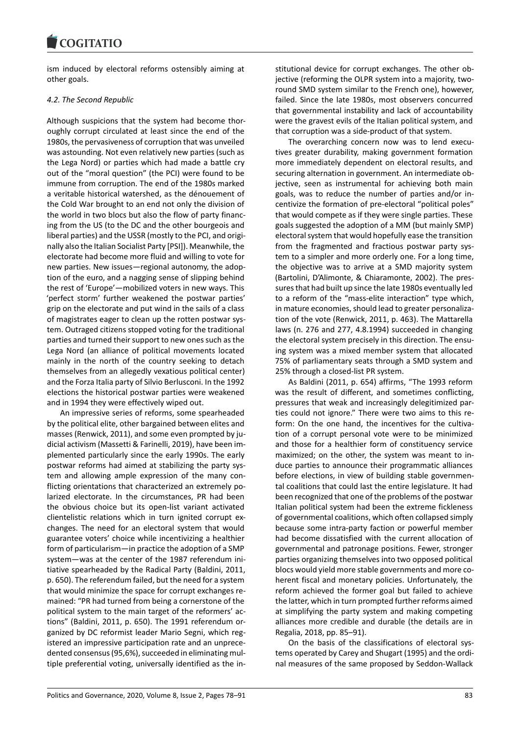ism induced by electoral reforms ostensibly aiming at other goals.

## *4.2. The Second Republic*

Although suspicions that the system had become thoroughly corrupt circulated at least since the end of the 1980s, the pervasiveness of corruption that was unveiled was astounding. Not even relatively new parties (such as the Lega Nord) or parties which had made a battle cry out of the "moral question" (the PCI) were found to be immune from corruption. The end of the 1980s marked a veritable historical watershed, as the dénouement of the Cold War brought to an end not only the division of the world in two blocs but also the flow of party financing from the US (to the DC and the other bourgeois and liberal parties) and the USSR (mostly to the PCI, and originally also the Italian Socialist Party [PSI]). Meanwhile, the electorate had become more fluid and willing to vote for new parties. New issues—regional autonomy, the adoption of the euro, and a nagging sense of slipping behind the rest of 'Europe'—mobilized voters in new ways. This 'perfect storm' further weakened the postwar parties' grip on the electorate and put wind in the sails of a class of magistrates eager to clean up the rotten postwar system. Outraged citizens stopped voting for the traditional parties and turned their support to new ones such as the Lega Nord (an alliance of political movements located mainly in the north of the country seeking to detach themselves from an allegedly vexatious political center) and the Forza Italia party of Silvio Berlusconi. In the 1992 elections the historical postwar parties were weakened and in 1994 they were effectively wiped out.

An impressive series of reforms, some spearheaded by the political elite, other bargained between elites and masses (Renwick, 2011), and some even prompted by judicial activism (Massetti & Farinelli, 2019), have been implemented particularly since the early 1990s. The early postwar reforms had aimed at stabilizing the party system and allowing ample expression of the many conflicting orientations that characterized an extremely polarized electorate. In the circumstances, PR had been the obvious choice but its open-list variant activated clientelistic relations which in turn ignited corrupt exchanges. The need for an electoral system that would guarantee voters' choice while incentivizing a healthier form of particularism—in practice the adoption of a SMP system—was at the center of the 1987 referendum initiative spearheaded by the Radical Party (Baldini, 2011, p. 650). The referendum failed, but the need for a system that would minimize the space for corrupt exchanges remained: "PR had turned from being a cornerstone of the political system to the main target of the reformers' actions" (Baldini, 2011, p. 650). The 1991 referendum organized by DC reformist leader Mario Segni, which registered an impressive participation rate and an unprecedented consensus (95,6%), succeeded in eliminating multiple preferential voting, universally identified as the institutional device for corrupt exchanges. The other objective (reforming the OLPR system into a majority, tworound SMD system similar to the French one), however, failed. Since the late 1980s, most observers concurred that governmental instability and lack of accountability were the gravest evils of the Italian political system, and that corruption was a side-product of that system.

The overarching concern now was to lend executives greater durability, making government formation more immediately dependent on electoral results, and securing alternation in government. An intermediate objective, seen as instrumental for achieving both main goals, was to reduce the number of parties and/or incentivize the formation of pre-electoral "political poles" that would compete as if they were single parties. These goals suggested the adoption of a MM (but mainly SMP) electoral system that would hopefully ease the transition from the fragmented and fractious postwar party system to a simpler and more orderly one. For a long time, the objective was to arrive at a SMD majority system (Bartolini, D'Alimonte, & Chiaramonte, 2002). The pressures that had built up since the late 1980s eventually led to a reform of the "mass-elite interaction" type which, in mature economies, should lead to greater personalization of the vote (Renwick, 2011, p. 463). The Mattarella laws (n. 276 and 277, 4.8.1994) succeeded in changing the electoral system precisely in this direction. The ensuing system was a mixed member system that allocated 75% of parliamentary seats through a SMD system and 25% through a closed-list PR system.

As Baldini (2011, p. 654) affirms, "The 1993 reform was the result of different, and sometimes conflicting, pressures that weak and increasingly delegitimized parties could not ignore." There were two aims to this reform: On the one hand, the incentives for the cultivation of a corrupt personal vote were to be minimized and those for a healthier form of constituency service maximized; on the other, the system was meant to induce parties to announce their programmatic alliances before elections, in view of building stable governmental coalitions that could last the entire legislature. It had been recognized that one of the problems of the postwar Italian political system had been the extreme fickleness of governmental coalitions, which often collapsed simply because some intra-party faction or powerful member had become dissatisfied with the current allocation of governmental and patronage positions. Fewer, stronger parties organizing themselves into two opposed political blocs would yield more stable governments and more coherent fiscal and monetary policies. Unfortunately, the reform achieved the former goal but failed to achieve the latter, which in turn prompted further reforms aimed at simplifying the party system and making competing alliances more credible and durable (the details are in Regalia, 2018, pp. 85–91).

On the basis of the classifications of electoral systems operated by Carey and Shugart (1995) and the ordinal measures of the same proposed by Seddon-Wallack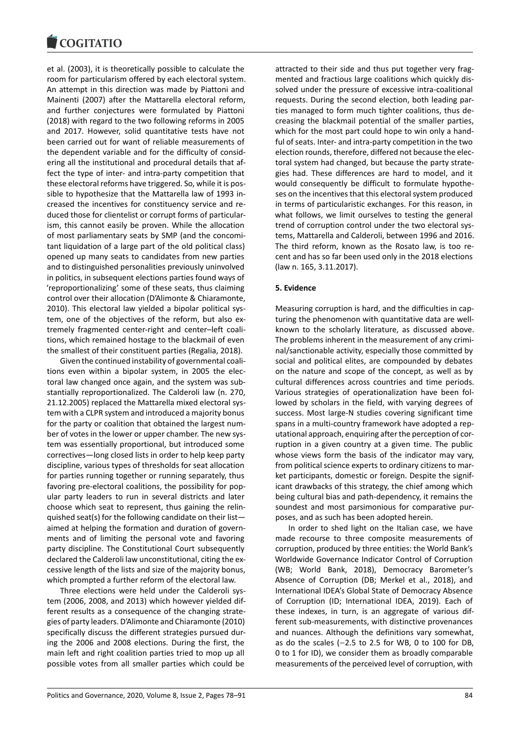et al. (2003), it is theoretically possible to calculate the room for particularism offered by each electoral system. An attempt in this direction was made by Piattoni and Mainenti (2007) after the Mattarella electoral reform, and further conjectures were formulated by Piattoni (2018) with regard to the two following reforms in 2005 and 2017. However, solid quantitative tests have not been carried out for want of reliable measurements of the dependent variable and for the difficulty of considering all the institutional and procedural details that affect the type of inter- and intra-party competition that these electoral reforms have triggered. So, while it is possible to hypothesize that the Mattarella law of 1993 increased the incentives for constituency service and reduced those for clientelist or corrupt forms of particularism, this cannot easily be proven. While the allocation of most parliamentary seats by SMP (and the concomitant liquidation of a large part of the old political class) opened up many seats to candidates from new parties and to distinguished personalities previously uninvolved in politics, in subsequent elections parties found ways of 'reproportionalizing' some of these seats, thus claiming control over their allocation (D'Alimonte & Chiaramonte, 2010). This electoral law yielded a bipolar political system, one of the objectives of the reform, but also extremely fragmented center-right and center–left coalitions, which remained hostage to the blackmail of even the smallest of their constituent parties (Regalia, 2018).

Given the continued instability of governmental coalitions even within a bipolar system, in 2005 the electoral law changed once again, and the system was substantially reproportionalized. The Calderoli law (n. 270, 21.12.2005) replaced the Mattarella mixed electoral system with a CLPR system and introduced a majority bonus for the party or coalition that obtained the largest number of votes in the lower or upper chamber. The new system was essentially proportional, but introduced some correctives—long closed lists in order to help keep party discipline, various types of thresholds for seat allocation for parties running together or running separately, thus favoring pre-electoral coalitions, the possibility for popular party leaders to run in several districts and later choose which seat to represent, thus gaining the relinquished seat(s) for the following candidate on their list aimed at helping the formation and duration of governments and of limiting the personal vote and favoring party discipline. The Constitutional Court subsequently declared the Calderoli law unconstitutional, citing the excessive length of the lists and size of the majority bonus, which prompted a further reform of the electoral law.

Three elections were held under the Calderoli system (2006, 2008, and 2013) which however yielded different results as a consequence of the changing strategies of party leaders. D'Alimonte and Chiaramonte (2010) specifically discuss the different strategies pursued during the 2006 and 2008 elections. During the first, the main left and right coalition parties tried to mop up all possible votes from all smaller parties which could be

attracted to their side and thus put together very fragmented and fractious large coalitions which quickly dissolved under the pressure of excessive intra-coalitional requests. During the second election, both leading parties managed to form much tighter coalitions, thus decreasing the blackmail potential of the smaller parties, which for the most part could hope to win only a handful of seats. Inter- and intra-party competition in the two election rounds, therefore, differed not because the electoral system had changed, but because the party strategies had. These differences are hard to model, and it would consequently be difficult to formulate hypotheses on the incentives that this electoral system produced in terms of particularistic exchanges. For this reason, in what follows, we limit ourselves to testing the general trend of corruption control under the two electoral systems, Mattarella and Calderoli, between 1996 and 2016. The third reform, known as the Rosato law, is too recent and has so far been used only in the 2018 elections (law n. 165, 3.11.2017).

#### **5. Evidence**

Measuring corruption is hard, and the difficulties in capturing the phenomenon with quantitative data are wellknown to the scholarly literature, as discussed above. The problems inherent in the measurement of any criminal/sanctionable activity, especially those committed by social and political elites, are compounded by debates on the nature and scope of the concept, as well as by cultural differences across countries and time periods. Various strategies of operationalization have been followed by scholars in the field, with varying degrees of success. Most large-N studies covering significant time spans in a multi-country framework have adopted a reputational approach, enquiring after the perception of corruption in a given country at a given time. The public whose views form the basis of the indicator may vary, from political science experts to ordinary citizens to market participants, domestic or foreign. Despite the significant drawbacks of this strategy, the chief among which being cultural bias and path-dependency, it remains the soundest and most parsimonious for comparative purposes, and as such has been adopted herein.

In order to shed light on the Italian case, we have made recourse to three composite measurements of corruption, produced by three entities: the World Bank's Worldwide Governance Indicator Control of Corruption (WB; World Bank, 2018), Democracy Barometer's Absence of Corruption (DB; Merkel et al., 2018), and International IDEA's Global State of Democracy Absence of Corruption (ID; International IDEA, 2019). Each of these indexes, in turn, is an aggregate of various different sub-measurements, with distinctive provenances and nuances. Although the definitions vary somewhat, as do the scales (−2.5 to 2.5 for WB, 0 to 100 for DB, 0 to 1 for ID), we consider them as broadly comparable measurements of the perceived level of corruption, with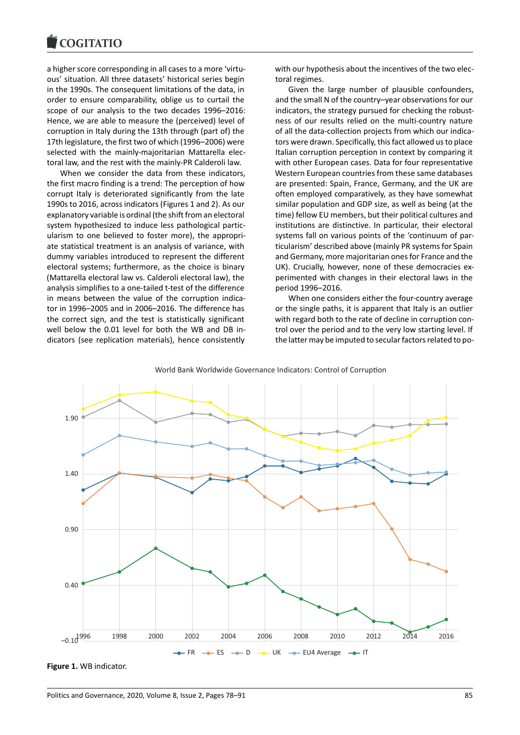a higher score corresponding in all cases to a more 'virtuous' situation. All three datasets' historical series begin in the 1990s. The consequent limitations of the data, in order to ensure comparability, oblige us to curtail the scope of our analysis to the two decades 1996–2016: Hence, we are able to measure the (perceived) level of corruption in Italy during the 13th through (part of) the 17th legislature, the first two of which (1996–2006) were selected with the mainly-majoritarian Mattarella electoral law, and the rest with the mainly-PR Calderoli law.

When we consider the data from these indicators, the first macro finding is a trend: The perception of how corrupt Italy is deteriorated significantly from the late 1990s to 2016, across indicators (Figures 1 and 2). As our explanatory variable is ordinal (the shift from an electoral system hypothesized to induce less pathological particularism to one believed to foster more), the appropriate statistical treatment is an analysis of variance, with dummy variables introduced to represent the different electoral systems; furthermore, as the choice is binary (Mattarella electoral law vs. Calderoli electoral law), the analysis simplifies to a one-tailed t-test of the difference in means between the value of the corruption indicator in 1996–2005 and in 2006–2016. The difference has the correct sign, and the test is statistically significant well below the 0.01 level for both the WB and DB indicators (see replication materials), hence consistently with our hypothesis about the incentives of the two electoral regimes.

Given the large number of plausible confounders, and the small N of the country–year observations for our indicators, the strategy pursued for checking the robustness of our results relied on the multi-country nature of all the data-collection projects from which our indicators were drawn. Specifically, this fact allowed us to place Italian corruption perception in context by comparing it with other European cases. Data for four representative Western European countries from these same databases are presented: Spain, France, Germany, and the UK are often employed comparatively, as they have somewhat similar population and GDP size, as well as being (at the time) fellow EU members, but their political cultures and institutions are distinctive. In particular, their electoral systems fall on various points of the 'continuum of particularism' described above (mainly PR systems for Spain and Germany, more majoritarian ones for France and the UK). Crucially, however, none of these democracies experimented with changes in their electoral laws in the period 1996–2016.

When one considers either the four-country average or the single paths, it is apparent that Italy is an outlier with regard both to the rate of decline in corruption control over the period and to the very low starting level. If the latter may be imputed to secular factors related to po-



World Bank Worldwide Governance Indicators: Control of Corruption

**Figure 1.** WB indicator.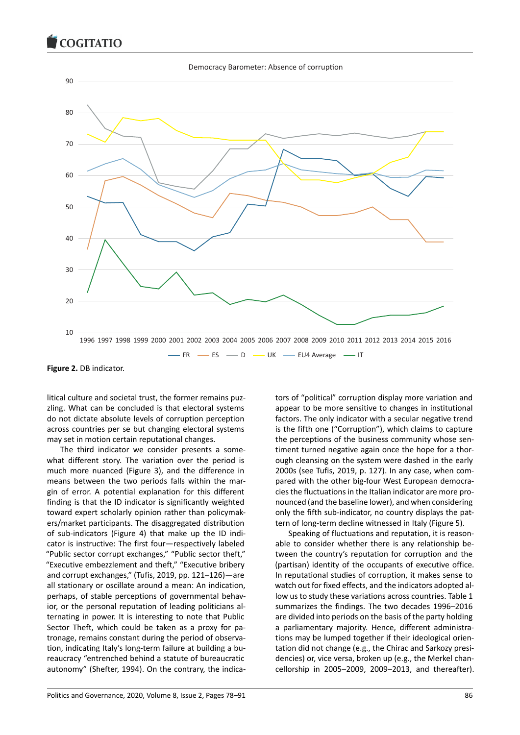#### Democracy Barometer: Absence of corruption



**Figure 2.** DB indicator.

litical culture and societal trust, the former remains puzzling. What can be concluded is that electoral systems do not dictate absolute levels of corruption perception across countries per se but changing electoral systems may set in motion certain reputational changes.

The third indicator we consider presents a somewhat different story. The variation over the period is much more nuanced (Figure 3), and the difference in means between the two periods falls within the margin of error. A potential explanation for this different finding is that the ID indicator is significantly weighted toward expert scholarly opinion rather than policymakers/market participants. The disaggregated distribution of sub-indicators (Figure 4) that make up the ID indicator is instructive: The first four—respectively labeled "Public sector corrupt exchanges," "Public sector theft," "Executive embezzlement and theft," "Executive bribery and corrupt exchanges," (Tufis, 2019, pp. 121–126)—are all stationary or oscillate around a mean: An indication, perhaps, of stable perceptions of governmental behavior, or the personal reputation of leading politicians alternating in power. It is interesting to note that Public Sector Theft, which could be taken as a proxy for patronage, remains constant during the period of observation, indicating Italy's long-term failure at building a bureaucracy "entrenched behind a statute of bureaucratic autonomy" (Shefter, 1994). On the contrary, the indicators of "political" corruption display more variation and appear to be more sensitive to changes in institutional factors. The only indicator with a secular negative trend is the fifth one ("Corruption"), which claims to capture the perceptions of the business community whose sentiment turned negative again once the hope for a thorough cleansing on the system were dashed in the early 2000s (see Tufis, 2019, p. 127). In any case, when compared with the other big-four West European democracies the fluctuations in the Italian indicator are more pronounced (and the baseline lower), and when considering only the fifth sub-indicator, no country displays the pattern of long-term decline witnessed in Italy (Figure 5).

Speaking of fluctuations and reputation, it is reasonable to consider whether there is any relationship between the country's reputation for corruption and the (partisan) identity of the occupants of executive office. In reputational studies of corruption, it makes sense to watch out for fixed effects, and the indicators adopted allow us to study these variations across countries. Table 1 summarizes the findings. The two decades 1996–2016 are divided into periods on the basis of the party holding a parliamentary majority. Hence, different administrations may be lumped together if their ideological orientation did not change (e.g., the Chirac and Sarkozy presidencies) or, vice versa, broken up (e.g., the Merkel chancellorship in 2005–2009, 2009–2013, and thereafter).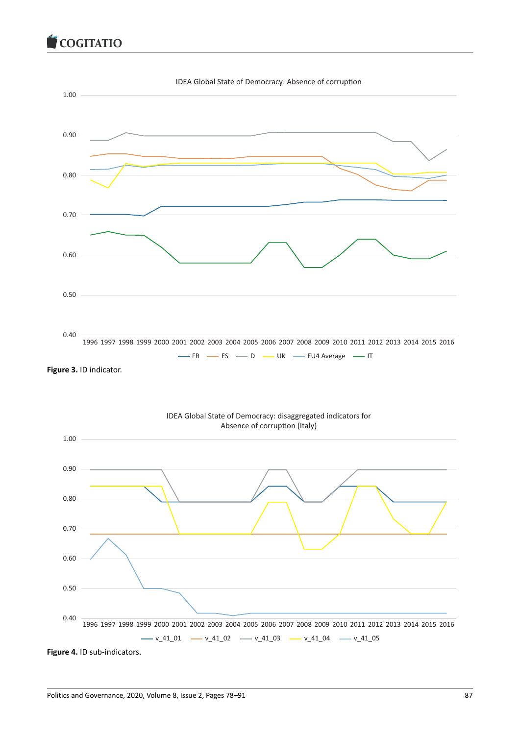

**Figure 4.** ID sub-indicators.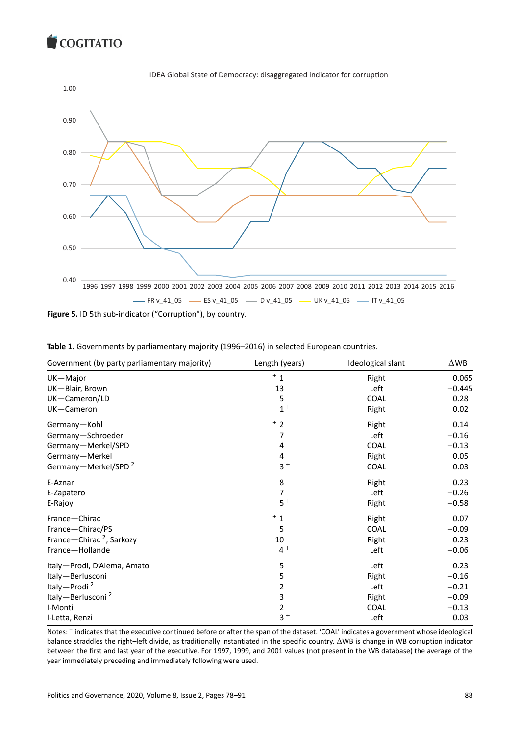

**Figure 5.** ID 5th sub-indicator ("Corruption"), by country.

| Government (by party parliamentary majority) | Length (years) | Ideological slant | $\triangle$ WB |
|----------------------------------------------|----------------|-------------------|----------------|
| UK-Major                                     | $+1$           | Right             | 0.065          |
| UK-Blair, Brown                              | 13             | Left              | $-0.445$       |
| UK-Cameron/LD                                | 5              | COAL              | 0.28           |
| UK-Cameron                                   | $1 +$          | Right             | 0.02           |
| Germany-Kohl                                 | $+2$           | Right             | 0.14           |
| Germany-Schroeder                            | 7              | Left              | $-0.16$        |
| Germany-Merkel/SPD                           | 4              | COAL              | $-0.13$        |
| Germany-Merkel                               | 4              | Right             | 0.05           |
| Germany-Merkel/SPD <sup>2</sup>              | $3+$           | COAL              | 0.03           |
| E-Aznar                                      | 8              | Right             | 0.23           |
| E-Zapatero                                   | 7              | Left              | $-0.26$        |
| E-Rajoy                                      | $5+$           | Right             | $-0.58$        |
| France-Chirac                                | $+1$           | Right             | 0.07           |
| France-Chirac/PS                             | 5              | COAL              | $-0.09$        |
| France-Chirac <sup>2</sup> , Sarkozy         | 10             | Right             | 0.23           |
| France-Hollande                              | $4+$           | Left              | $-0.06$        |
| Italy-Prodi, D'Alema, Amato                  | 5              | Left              | 0.23           |
| Italy-Berlusconi                             | 5              | Right             | $-0.16$        |
| Italy-Prodi <sup>2</sup>                     | 2              | Left              | $-0.21$        |
| Italy-Berlusconi <sup>2</sup>                | 3              | Right             | $-0.09$        |
| I-Monti                                      | 2              | COAL              | $-0.13$        |
| I-Letta, Renzi                               | $3 +$          | Left              | 0.03           |

|  |  |  |  | Table 1. Governments by parliamentary majority (1996–2016) in selected European countries. |  |
|--|--|--|--|--------------------------------------------------------------------------------------------|--|
|--|--|--|--|--------------------------------------------------------------------------------------------|--|

Notes: <sup>+</sup> indicates that the executive continued before or after the span of the dataset. 'COAL' indicates a government whose ideological balance straddles the right–left divide, as traditionally instantiated in the specific country. ΔWB is change in WB corruption indicator between the first and last year of the executive. For 1997, 1999, and 2001 values (not present in the WB database) the average of the year immediately preceding and immediately following were used.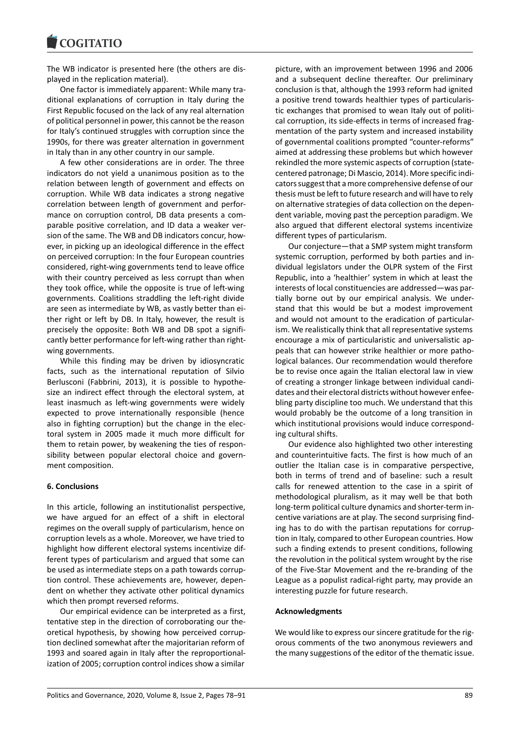The WB indicator is presented here (the others are displayed in the replication material).

One factor is immediately apparent: While many traditional explanations of corruption in Italy during the First Republic focused on the lack of any real alternation of political personnel in power, this cannot be the reason for Italy's continued struggles with corruption since the 1990s, for there was greater alternation in government in Italy than in any other country in our sample.

A few other considerations are in order. The three indicators do not yield a unanimous position as to the relation between length of government and effects on corruption. While WB data indicates a strong negative correlation between length of government and performance on corruption control, DB data presents a comparable positive correlation, and ID data a weaker version of the same. The WB and DB indicators concur, however, in picking up an ideological difference in the effect on perceived corruption: In the four European countries considered, right-wing governments tend to leave office with their country perceived as less corrupt than when they took office, while the opposite is true of left-wing governments. Coalitions straddling the left-right divide are seen as intermediate by WB, as vastly better than either right or left by DB. In Italy, however, the result is precisely the opposite: Both WB and DB spot a significantly better performance for left-wing rather than rightwing governments.

While this finding may be driven by idiosyncratic facts, such as the international reputation of Silvio Berlusconi (Fabbrini, 2013), it is possible to hypothesize an indirect effect through the electoral system, at least inasmuch as left-wing governments were widely expected to prove internationally responsible (hence also in fighting corruption) but the change in the electoral system in 2005 made it much more difficult for them to retain power, by weakening the ties of responsibility between popular electoral choice and government composition.

#### **6. Conclusions**

In this article, following an institutionalist perspective, we have argued for an effect of a shift in electoral regimes on the overall supply of particularism, hence on corruption levels as a whole. Moreover, we have tried to highlight how different electoral systems incentivize different types of particularism and argued that some can be used as intermediate steps on a path towards corruption control. These achievements are, however, dependent on whether they activate other political dynamics which then prompt reversed reforms.

Our empirical evidence can be interpreted as a first, tentative step in the direction of corroborating our theoretical hypothesis, by showing how perceived corruption declined somewhat after the majoritarian reform of 1993 and soared again in Italy after the reproportionalization of 2005; corruption control indices show a similar

picture, with an improvement between 1996 and 2006 and a subsequent decline thereafter. Our preliminary conclusion is that, although the 1993 reform had ignited a positive trend towards healthier types of particularistic exchanges that promised to wean Italy out of political corruption, its side-effects in terms of increased fragmentation of the party system and increased instability of governmental coalitions prompted "counter-reforms" aimed at addressing these problems but which however rekindled the more systemic aspects of corruption (statecentered patronage; Di Mascio, 2014). More specific indicators suggest that a more comprehensive defense of our thesis must be left to future research and will have to rely on alternative strategies of data collection on the dependent variable, moving past the perception paradigm. We also argued that different electoral systems incentivize different types of particularism.

Our conjecture—that a SMP system might transform systemic corruption, performed by both parties and individual legislators under the OLPR system of the First Republic, into a 'healthier' system in which at least the interests of local constituencies are addressed—was partially borne out by our empirical analysis. We understand that this would be but a modest improvement and would not amount to the eradication of particularism. We realistically think that all representative systems encourage a mix of particularistic and universalistic appeals that can however strike healthier or more pathological balances. Our recommendation would therefore be to revise once again the Italian electoral law in view of creating a stronger linkage between individual candidates and their electoral districts without however enfeebling party discipline too much. We understand that this would probably be the outcome of a long transition in which institutional provisions would induce corresponding cultural shifts.

Our evidence also highlighted two other interesting and counterintuitive facts. The first is how much of an outlier the Italian case is in comparative perspective, both in terms of trend and of baseline: such a result calls for renewed attention to the case in a spirit of methodological pluralism, as it may well be that both long-term political culture dynamics and shorter-term incentive variations are at play. The second surprising finding has to do with the partisan reputations for corruption in Italy, compared to other European countries. How such a finding extends to present conditions, following the revolution in the political system wrought by the rise of the Five-Star Movement and the re-branding of the League as a populist radical-right party, may provide an interesting puzzle for future research.

#### **Acknowledgments**

We would like to express our sincere gratitude for the rigorous comments of the two anonymous reviewers and the many suggestions of the editor of the thematic issue.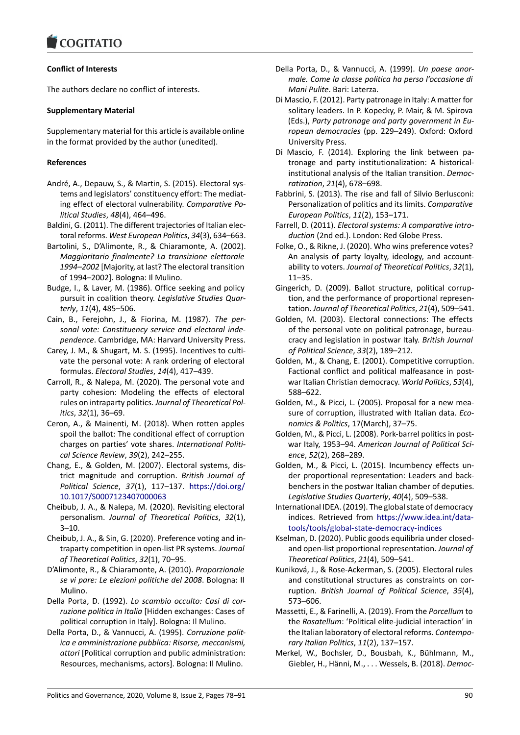## **Conflict of Interests**

The authors declare no conflict of interests.

### **Supplementary Material**

Supplementary material for this article is available online in the format provided by the author (unedited).

#### **References**

- André, A., Depauw, S., & Martin, S. (2015). Electoral systems and legislators' constituency effort: The mediating effect of electoral vulnerability. *Comparative Political Studies*, *48*(4), 464–496.
- Baldini, G. (2011). The different trajectories of Italian electoral reforms. *West European Politics*, *34*(3), 634–663.
- Bartolini, S., D'Alimonte, R., & Chiaramonte, A. (2002). *Maggioritario finalmente? La transizione elettorale 1994–2002* [Majority, at last? The electoral transition of 1994–2002]. Bologna: Il Mulino.
- Budge, I., & Laver, M. (1986). Office seeking and policy pursuit in coalition theory. *Legislative Studies Quarterly*, *11*(4), 485–506.
- Cain, B., Ferejohn, J., & Fiorina, M. (1987). *The personal vote: Constituency service and electoral independence*. Cambridge, MA: Harvard University Press.
- Carey, J. M., & Shugart, M. S. (1995). Incentives to cultivate the personal vote: A rank ordering of electoral formulas. *Electoral Studies*, *14*(4), 417–439.
- Carroll, R., & Nalepa, M. (2020). The personal vote and party cohesion: Modeling the effects of electoral rules on intraparty politics. *Journal of Theoretical Politics*, *32*(1), 36–69.
- Ceron, A., & Mainenti, M. (2018). When rotten apples spoil the ballot: The conditional effect of corruption charges on parties' vote shares. *International Political Science Review*, *39*(2), 242–255.
- Chang, E., & Golden, M. (2007). Electoral systems, district magnitude and corruption. *British Journal of Political Science*, *37*(1), 117–137. https://doi.org/ 10.1017/S0007123407000063
- Cheibub, J. A., & Nalepa, M. (2020). Revisiting electoral personalism. *Journal of Theoretical Politics*, *32*(1), 3–10.
- Ch[eibub, J. A., & Sin, G. \(2020\). Pre](https://doi.org/10.1017/S0007123407000063)feren[ce voting and in](https://doi.org/10.1017/S0007123407000063)traparty competition in open-list PR systems. *Journal of Theoretical Politics*, *32*(1), 70–95.
- D'Alimonte, R., & Chiaramonte, A. (2010). *Proporzionale se vi pare: Le elezioni politiche del 2008*. Bologna: Il Mulino.
- Della Porta, D. (1992). *Lo scambio occulto: Casi di corruzione politica in Italia* [Hidden exchanges: Cases of political corruption in Italy]. Bologna: Il Mulino.
- Della Porta, D., & Vannucci, A. (1995). *Corruzione politica e amministrazione pubblica: Risorse, meccanismi, attori* [Political corruption and public administration: Resources, mechanisms, actors]. Bologna: Il Mulino.
- Della Porta, D., & Vannucci, A. (1999). *Un paese anormale. Come la classe politica ha perso l'occasione di Mani Pulite*. Bari: Laterza.
- Di Mascio, F. (2012). Party patronage in Italy: A matter for solitary leaders. In P. Kopecky, P. Mair, & M. Spirova (Eds.), *Party patronage and party government in European democracies* (pp. 229–249). Oxford: Oxford University Press.
- Di Mascio, F. (2014). Exploring the link between patronage and party institutionalization: A historicalinstitutional analysis of the Italian transition. *Democratization*, *21*(4), 678–698.
- Fabbrini, S. (2013). The rise and fall of Silvio Berlusconi: Personalization of politics and its limits. *Comparative European Politics*, *11*(2), 153–171.
- Farrell, D. (2011). *Electoral systems: A comparative introduction* (2nd ed.). London: Red Globe Press.
- Folke, O., & Rikne, J. (2020). Who wins preference votes? An analysis of party loyalty, ideology, and accountability to voters. *Journal of Theoretical Politics*, *32*(1), 11–35.
- Gingerich, D. (2009). Ballot structure, political corruption, and the performance of proportional representation. *Journal of Theoretical Politics*, *21*(4), 509–541.
- Golden, M. (2003). Electoral connections: The effects of the personal vote on political patronage, bureaucracy and legislation in postwar Italy. *British Journal of Political Science*, *33*(2), 189–212.
- Golden, M., & Chang, E. (2001). Competitive corruption. Factional conflict and political malfeasance in postwar Italian Christian democracy. *World Politics*, *53*(4), 588–622.
- Golden, M., & Picci, L. (2005). Proposal for a new measure of corruption, illustrated with Italian data. *Economics & Politics*, 17(March), 37–75.
- Golden, M., & Picci, L. (2008). Pork-barrel politics in postwar Italy, 1953–94. *American Journal of Political Science*, *52*(2), 268–289.
- Golden, M., & Picci, L. (2015). Incumbency effects under proportional representation: Leaders and backbenchers in the postwar Italian chamber of deputies. *Legislative Studies Quarterly*, *40*(4), 509–538.
- International IDEA. (2019). The global state of democracy indices. Retrieved from https://www.idea.int/datatools/tools/global-state-democracy-indices
- Kselman, D. (2020). Public goods equilibria under closedand open-list proportional representation. *Journal of Theoretical Politics*, *21*(4)[, 509–541.](https://www.idea.int/data-tools/tools/global-state-democracy-indices)
- Ku[niková, J., & Rose-Ackerman, S. \(2005\). Electo](https://www.idea.int/data-tools/tools/global-state-democracy-indices)ral rules and constitutional structures as constraints on corruption. *British Journal of Political Science*, *35*(4), 573–606.
- Massetti, E., & Farinelli, A. (2019). From the *Porcellum* to the *Rosatellum*: 'Political elite-judicial interaction' in the Italian laboratory of electoral reforms. *Contemporary Italian Politics*, *11*(2), 137–157.
- Merkel, W., Bochsler, D., Bousbah, K., Bühlmann, M., Giebler, H., Hänni, M., . . . Wessels, B. (2018). *Democ-*